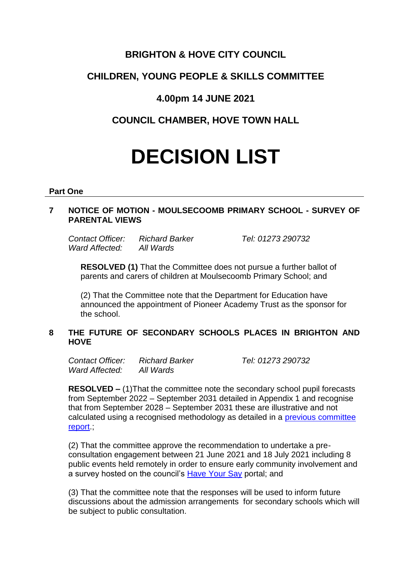## **BRIGHTON & HOVE CITY COUNCIL**

# **CHILDREN, YOUNG PEOPLE & SKILLS COMMITTEE**

# **4.00pm 14 JUNE 2021**

# **COUNCIL CHAMBER, HOVE TOWN HALL**

# **DECISION LIST**

#### **Part One**

## **7 NOTICE OF MOTION - MOULSECOOMB PRIMARY SCHOOL - SURVEY OF PARENTAL VIEWS**

*Contact Officer: Richard Barker Tel: 01273 290732 Ward Affected: All Wards*

**RESOLVED (1)** That the Committee does not pursue a further ballot of parents and carers of children at Moulsecoomb Primary School; and

(2) That the Committee note that the Department for Education have announced the appointment of Pioneer Academy Trust as the sponsor for the school.

## **8 THE FUTURE OF SECONDARY SCHOOLS PLACES IN BRIGHTON AND HOVE**

*Contact Officer: Richard Barker Tel: 01273 290732 Ward Affected: All Wards*

**RESOLVED –** (1)That the committee note the secondary school pupil forecasts from September 2022 – September 2031 detailed in Appendix 1 and recognise that from September 2028 – September 2031 these are illustrative and not calculated using a recognised methodology as detailed in a [previous committee](https://present.brighton-hove.gov.uk/documents/s87539/Independent%20Review%20of%20Secondary%20Pupil%20Numbers%20Forecasts.pdf)  [report.](https://present.brighton-hove.gov.uk/documents/s87539/Independent%20Review%20of%20Secondary%20Pupil%20Numbers%20Forecasts.pdf);

(2) That the committee approve the recommendation to undertake a preconsultation engagement between 21 June 2021 and 18 July 2021 including 8 public events held remotely in order to ensure early community involvement and a survey hosted on the council's [Have Your Say](https://www.brighton-hove.gov.uk/content/council-and-democracy/consultations) portal; and

(3) That the committee note that the responses will be used to inform future discussions about the admission arrangements for secondary schools which will be subject to public consultation.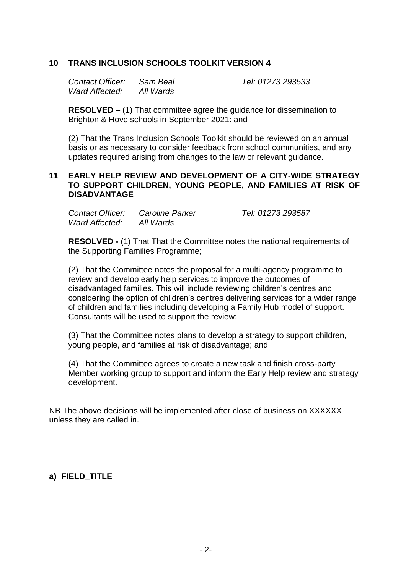## **10 TRANS INCLUSION SCHOOLS TOOLKIT VERSION 4**

| Contact Officer: | Sam Beal  |
|------------------|-----------|
| Ward Affected:   | All Wards |

*Contact Officer: Sam Beal Tel: 01273 293533*

**RESOLVED –** (1) That committee agree the guidance for dissemination to Brighton & Hove schools in September 2021: and

(2) That the Trans Inclusion Schools Toolkit should be reviewed on an annual basis or as necessary to consider feedback from school communities, and any updates required arising from changes to the law or relevant guidance.

## **11 EARLY HELP REVIEW AND DEVELOPMENT OF A CITY-WIDE STRATEGY TO SUPPORT CHILDREN, YOUNG PEOPLE, AND FAMILIES AT RISK OF DISADVANTAGE**

| Contact Officer: | Caroline Parker | Tel: 01273 293587 |
|------------------|-----------------|-------------------|
| Ward Affected:   | All Wards       |                   |

**RESOLVED -** (1) That That the Committee notes the national requirements of the Supporting Families Programme;

(2) That the Committee notes the proposal for a multi-agency programme to review and develop early help services to improve the outcomes of disadvantaged families. This will include reviewing children's centres and considering the option of children's centres delivering services for a wider range of children and families including developing a Family Hub model of support. Consultants will be used to support the review;

(3) That the Committee notes plans to develop a strategy to support children, young people, and families at risk of disadvantage; and

(4) That the Committee agrees to create a new task and finish cross-party Member working group to support and inform the Early Help review and strategy development.

NB The above decisions will be implemented after close of business on XXXXXX unless they are called in.

## **a) FIELD\_TITLE**